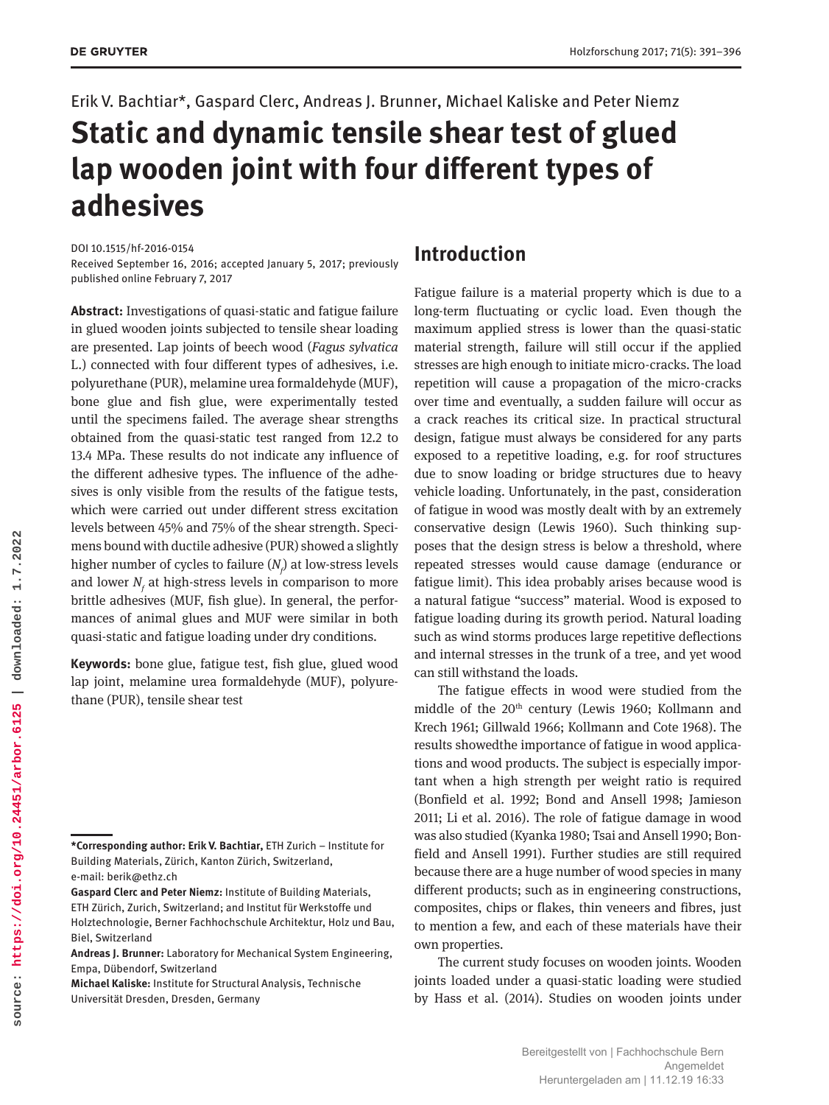#### Erik V. Bachtiar\*, Gaspard Clerc, Andreas J. Brunner, Michael Kaliske and Peter Niemz

# **Static and dynamic tensile shear test of glued lap wooden joint with four different types of adhesives**

DOI 10.1515/hf-2016-0154

Received September 16, 2016; accepted January 5, 2017; previously published online February 7, 2017

**Abstract:** Investigations of quasi-static and fatigue failure in glued wooden joints subjected to tensile shear loading are presented. Lap joints of beech wood (*Fagus sylvatica* L.) connected with four different types of adhesives, i.e. polyurethane (PUR), melamine urea formaldehyde (MUF), bone glue and fish glue, were experimentally tested until the specimens failed. The average shear strengths obtained from the quasi-static test ranged from 12.2 to 13.4 MPa. These results do not indicate any influence of the different adhesive types. The influence of the adhesives is only visible from the results of the fatigue tests, which were carried out under different stress excitation levels between 45% and 75% of the shear strength. Specimens bound with ductile adhesive (PUR) showed a slightly higher number of cycles to failure  $(N_{\!\scriptscriptstyle f}\!)$  at low-stress levels and lower  $N_f$  at high-stress levels in comparison to more brittle adhesives (MUF, fish glue). In general, the performances of animal glues and MUF were similar in both quasi-static and fatigue loading under dry conditions.

**Keywords:** bone glue, fatigue test, fish glue, glued wood lap joint, melamine urea formaldehyde (MUF), polyurethane (PUR), tensile shear test

## **Introduction**

Fatigue failure is a material property which is due to a long-term fluctuating or cyclic load. Even though the maximum applied stress is lower than the quasi-static material strength, failure will still occur if the applied stresses are high enough to initiate micro-cracks. The load repetition will cause a propagation of the micro-cracks over time and eventually, a sudden failure will occur as a crack reaches its critical size. In practical structural design, fatigue must always be considered for any parts exposed to a repetitive loading, e.g. for roof structures due to snow loading or bridge structures due to heavy vehicle loading. Unfortunately, in the past, consideration of fatigue in wood was mostly dealt with by an extremely conservative design (Lewis 1960). Such thinking supposes that the design stress is below a threshold, where repeated stresses would cause damage (endurance or fatigue limit). This idea probably arises because wood is a natural fatigue "success" material. Wood is exposed to fatigue loading during its growth period. Natural loading such as wind storms produces large repetitive deflections and internal stresses in the trunk of a tree, and yet wood can still withstand the loads.

The fatigue effects in wood were studied from the middle of the 20<sup>th</sup> century (Lewis 1960; Kollmann and Krech 1961; Gillwald 1966; Kollmann and Cote 1968). The results showedthe importance of fatigue in wood applications and wood products. The subject is especially important when a high strength per weight ratio is required (Bonfield et al. 1992; Bond and Ansell 1998; Jamieson 2011; Li et al. 2016). The role of fatigue damage in wood was also studied (Kyanka 1980; Tsai and Ansell 1990; Bonfield and Ansell 1991). Further studies are still required because there are a huge number of wood species in many different products; such as in engineering constructions, composites, chips or flakes, thin veneers and fibres, just to mention a few, and each of these materials have their own properties.

The current study focuses on wooden joints. Wooden joints loaded under a quasi-static loading were studied by Hass et al. (2014). Studies on wooden joints under

**<sup>\*</sup>Corresponding author: Erik V. Bachtiar,** ETH Zurich – Institute for Building Materials, Zürich, Kanton Zürich, Switzerland, e-mail: [berik@ethz.ch](mailto:berik@ethz.ch)

**Gaspard Clerc and Peter Niemz:** Institute of Building Materials, ETH Zürich, Zurich, Switzerland; and Institut für Werkstoffe und Holztechnologie, Berner Fachhochschule Architektur, Holz und Bau, Biel, Switzerland

**Andreas J. Brunner:** Laboratory for Mechanical System Engineering, Empa, Dübendorf, Switzerland

**Michael Kaliske:** Institute for Structural Analysis, Technische Universität Dresden, Dresden, Germany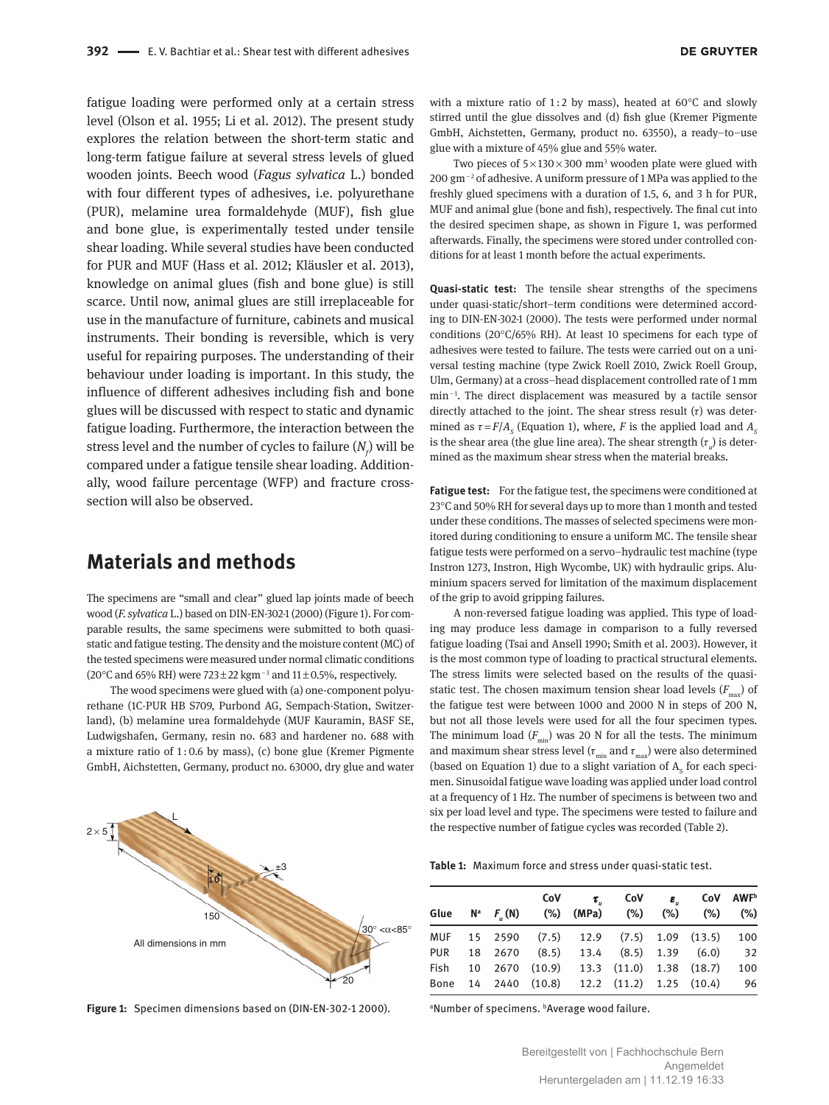fatigue loading were performed only at a certain stress level (Olson et al. 1955; Li et al. 2012). The present study explores the relation between the short-term static and long-term fatigue failure at several stress levels of glued wooden joints. Beech wood (*Fagus sylvatica* L.) bonded with four different types of adhesives, i.e. polyurethane (PUR), melamine urea formaldehyde (MUF), fish glue and bone glue, is experimentally tested under tensile shear loading. While several studies have been conducted for PUR and MUF (Hass et al. 2012; Kläusler et al. 2013), knowledge on animal glues (fish and bone glue) is still scarce. Until now, animal glues are still irreplaceable for use in the manufacture of furniture, cabinets and musical instruments. Their bonding is reversible, which is very useful for repairing purposes. The understanding of their behaviour under loading is important. In this study, the influence of different adhesives including fish and bone glues will be discussed with respect to static and dynamic fatigue loading. Furthermore, the interaction between the stress level and the number of cycles to failure  $(N_{\rho})$  will be compared under a fatigue tensile shear loading. Additionally, wood failure percentage (WFP) and fracture crosssection will also be observed.

#### **Materials and methods**

The specimens are "small and clear" glued lap joints made of beech wood (*F. sylvatica* L.) based on DIN-EN-302-1 (2000) (Figure 1). For comparable results, the same specimens were submitted to both quasistatic and fatigue testing. The density and the moisture content (MC) of the tested specimens were measured under normal climatic conditions (20°C and 65% RH) were  $723 \pm 22$  kgm<sup>-3</sup> and  $11 \pm 0.5$ %, respectively.

The wood specimens were glued with (a) one-component polyurethane (1C-PUR HB S709, Purbond AG, Sempach-Station, Switzerland), (b) melamine urea formaldehyde (MUF Kauramin, BASF SE, Ludwigshafen, Germany, resin no. 683 and hardener no. 688 with a mixture ratio of 1 : 0.6 by mass), (c) bone glue (Kremer Pigmente GmbH, Aichstetten, Germany, product no. 63000, dry glue and water



**Figure 1:** Specimen dimensions based on (DIN-EN-302-1 2000).

with a mixture ratio of 1:2 by mass), heated at 60 $^{\circ}$ C and slowly stirred until the glue dissolves and (d) fish glue (Kremer Pigmente GmbH, Aichstetten, Germany, product no. 63550), a ready–to–use glue with a mixture of 45% glue and 55% water.

Two pieces of  $5 \times 130 \times 300$  mm<sup>3</sup> wooden plate were glued with 200 gm − 2 of adhesive. A uniform pressure of 1 MPa was applied to the freshly glued specimens with a duration of 1.5, 6, and 3 h for PUR, MUF and animal glue (bone and fish), respectively. The final cut into the desired specimen shape, as shown in Figure 1, was performed afterwards. Finally, the specimens were stored under controlled conditions for at least 1 month before the actual experiments.

**Quasi-static test:** The tensile shear strengths of the specimens under quasi-static/short–term conditions were determined according to DIN-EN-302-1 (2000). The tests were performed under normal conditions (20 $^{\circ}$ C/65% RH). At least 10 specimens for each type of adhesives were tested to failure. The tests were carried out on a universal testing machine (type Zwick Roell Z010, Zwick Roell Group, Ulm, Germany) at a cross–head displacement controlled rate of 1 mm min<sup>-1</sup>. The direct displacement was measured by a tactile sensor directly attached to the joint. The shear stress result  $(\tau)$  was determined as  $\tau = F/A_s$  (Equation 1), where, *F* is the applied load and  $A_s$ is the shear area (the glue line area). The shear strength  $(\tau_{_u}\!)$  is determined as the maximum shear stress when the material breaks.

**Fatigue test:** For the fatigue test, the specimens were conditioned at 23°C and 50% RH for several days up to more than 1 month and tested under these conditions. The masses of selected specimens were monitored during conditioning to ensure a uniform MC. The tensile shear fatigue tests were performed on a servo–hydraulic test machine (type Instron 1273, Instron, High Wycombe, UK) with hydraulic grips. Aluminium spacers served for limitation of the maximum displacement of the grip to avoid gripping failures.

A non-reversed fatigue loading was applied. This type of loading may produce less damage in comparison to a fully reversed fatigue loading (Tsai and Ansell 1990; Smith et al. 2003). However, it is the most common type of loading to practical structural elements. The stress limits were selected based on the results of the quasistatic test. The chosen maximum tension shear load levels  $(F_{\text{max}})$  of the fatigue test were between 1000 and 2000 N in steps of 200 N, but not all those levels were used for all the four specimen types. The minimum load  $(F_{min})$  was 20 N for all the tests. The minimum and maximum shear stress level ( $\tau_{\text{min}}$  and  $\tau_{\text{max}}$ ) were also determined (based on Equation 1) due to a slight variation of  $A_s$  for each specimen. Sinusoidal fatigue wave loading was applied under load control at a frequency of 1 Hz. The number of specimens is between two and six per load level and type. The specimens were tested to failure and the respective number of fatigue cycles was recorded (Table 2).

|  |  |  |  |  |  |  | <b>Table 1:</b> Maximum force and stress under quasi-static test. |  |  |  |  |
|--|--|--|--|--|--|--|-------------------------------------------------------------------|--|--|--|--|
|--|--|--|--|--|--|--|-------------------------------------------------------------------|--|--|--|--|

|  | Glue N <sup>a</sup> F <sub>.</sub> (N) (%) (MPa) (%) (%) (%) (%) |  | CoV AWF <sup>b</sup> |     |
|--|------------------------------------------------------------------|--|----------------------|-----|
|  | MUF 15 2590 (7.5) 12.9 (7.5) 1.09 (13.5)                         |  |                      | 100 |
|  | PUR 18 2670 (8.5) 13.4 (8.5) 1.39 (6.0)                          |  |                      | 32  |
|  | Fish 10 2670 (10.9) 13.3 (11.0) 1.38 (18.7)                      |  |                      | 100 |
|  | Bone 14 2440 (10.8) 12.2 (11.2) 1.25 (10.4) 96                   |  |                      |     |

a Number of specimens. b Average wood failure.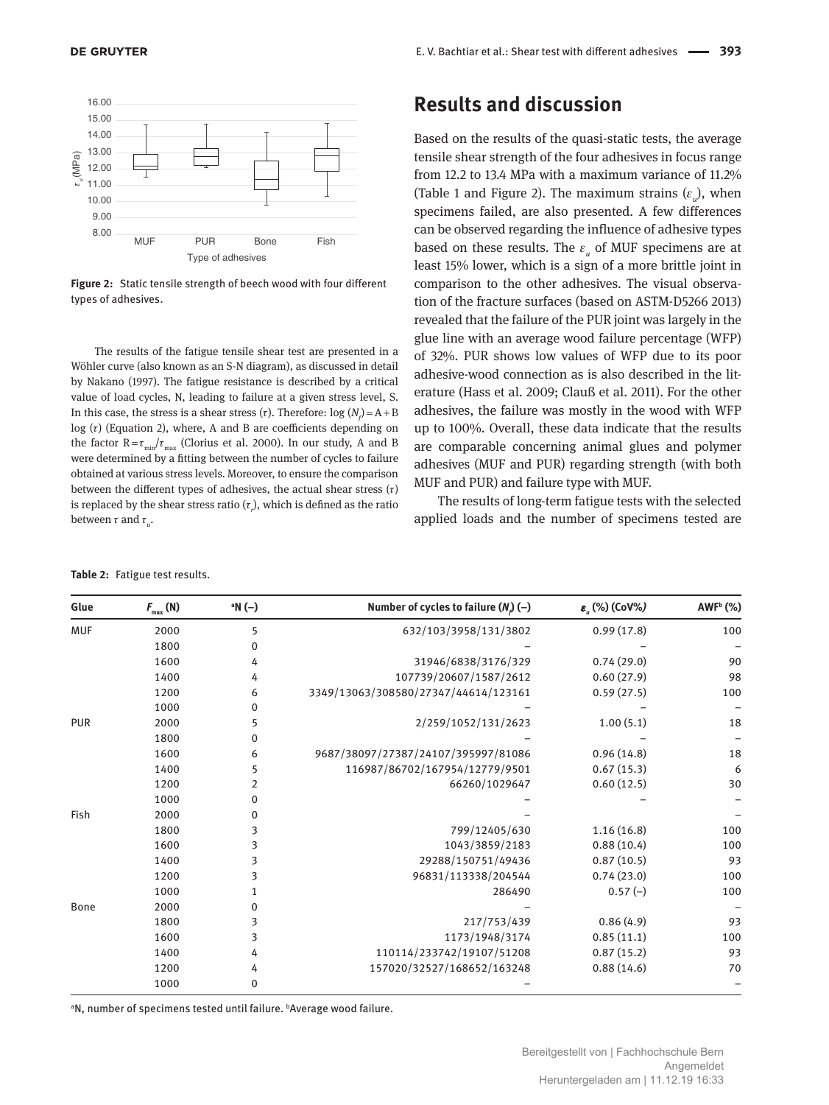

**Figure 2:** Static tensile strength of beech wood with four different types of adhesives.

The results of the fatigue tensile shear test are presented in a Wöhler curve (also known as an S-N diagram), as discussed in detail by Nakano (1997). The fatigue resistance is described by a critical value of load cycles, N, leading to failure at a given stress level, S. In this case, the stress is a shear stress (*τ*). Therefore:  $log (N_f) = A + B$ log  $(τ)$  (Equation 2), where, A and B are coefficients depending on the factor  $R = \tau_{min}/\tau_{max}$  (Clorius et al. 2000). In our study, A and B were determined by a fitting between the number of cycles to failure obtained at various stress levels. Moreover, to ensure the comparison between the different types of adhesives, the actual shear stress  $(\tau)$ is replaced by the shear stress ratio  $(\tau_{_{\rm r}})$ , which is defined as the ratio between  $\tau$  and  $\tau_{u}$ .

**Results and discussion**

Based on the results of the quasi-static tests, the average tensile shear strength of the four adhesives in focus range from 12.2 to 13.4 MPa with a maximum variance of 11.2% (Table 1 and Figure 2). The maximum strains  $(\varepsilon_u)$ , when specimens failed, are also presented. A few differences can be observed regarding the influence of adhesive types based on these results. The  $\varepsilon_{_u}$  of MUF specimens are at least 15% lower, which is a sign of a more brittle joint in comparison to the other adhesives. The visual observation of the fracture surfaces (based on ASTM-D5266 2013) revealed that the failure of the PUR joint was largely in the glue line with an average wood failure percentage (WFP) of 32%. PUR shows low values of WFP due to its poor adhesive-wood connection as is also described in the literature (Hass et al. 2009; Clauß et al. 2011). For the other adhesives, the failure was mostly in the wood with WFP up to 100%. Overall, these data indicate that the results are comparable concerning animal glues and polymer adhesives (MUF and PUR) regarding strength (with both MUF and PUR) and failure type with MUF.

The results of long-term fatigue tests with the selected applied loads and the number of specimens tested are

**ε**<sub>.</sub> (%) (CoV%)

 **(%)**

| Glue       | $F_{\text{max}}(\text{N})$ | ªN (−) | Number of cycles to failure $(N_a)$ (–) | $\varepsilon_{\mu}$ (%) (CoV%) | $AWFb$ (%) |
|------------|----------------------------|--------|-----------------------------------------|--------------------------------|------------|
| <b>MUF</b> | 2000                       | 5      | 632/103/3958/131/3802                   | 0.99(17.8)                     | 100        |
|            | 1800                       | 0      |                                         |                                |            |
|            | 1600                       | 4      | 31946/6838/3176/329                     | 0.74(29.0)                     | 90         |
|            | 1400                       | 4      | 107739/20607/1587/2612                  | 0.60(27.9)                     | 98         |
|            | 1200                       | 6      | 3349/13063/308580/27347/44614/123161    | 0.59(27.5)                     | 100        |
|            | 1000                       | 0      |                                         |                                |            |
| PUR        | 2000                       | 5      | 2/259/1052/131/2623                     | 1.00(5.1)                      | 18         |
|            | 1800                       | 0      |                                         |                                |            |
|            | 1600                       | 6      | 9687/38097/27387/24107/395997/81086     | 0.96(14.8)                     | 18         |
|            | 1400                       | 5      | 116987/86702/167954/12779/9501          | 0.67(15.3)                     | 6          |
|            | 1200                       | 2      | 66260/1029647                           | 0.60(12.5)                     | 30         |
|            | 1000                       | 0      |                                         |                                |            |
| Fish       | 2000                       | 0      |                                         |                                |            |
|            | 1800                       | 3      | 799/12405/630                           | 1.16(16.8)                     | 100        |
|            | 1600                       | 3      | 1043/3859/2183                          | 0.88(10.4)                     | 100        |
|            | 1400                       | 3      | 29288/150751/49436                      | 0.87(10.5)                     | 93         |
|            | 1200                       | 3      | 96831/113338/204544                     | 0.74(23.0)                     | 100        |
|            | 1000                       | 1      | 286490                                  | $0.57(-)$                      | 100        |
| Bone       | 2000                       | 0      |                                         |                                |            |
|            | 1800                       | 3      | 217/753/439                             | 0.86(4.9)                      | 93         |
|            | 1600                       | 3      | 1173/1948/3174                          | 0.85(11.1)                     | 100        |
|            | 1400                       | 4      | 110114/233742/19107/51208               | 0.87(15.2)                     | 93         |
|            | 1200                       | 4      | 157020/32527/168652/163248              | 0.88(14.6)                     | 70         |
|            | 1000                       | 0      |                                         |                                |            |

**Table 2:** Fatigue test results.

Glue  $F_{\text{max}}(N)$  **a** $N(-)$ 

<sup>a</sup>N, number of specimens tested until failure. <sup>b</sup>Average wood failure.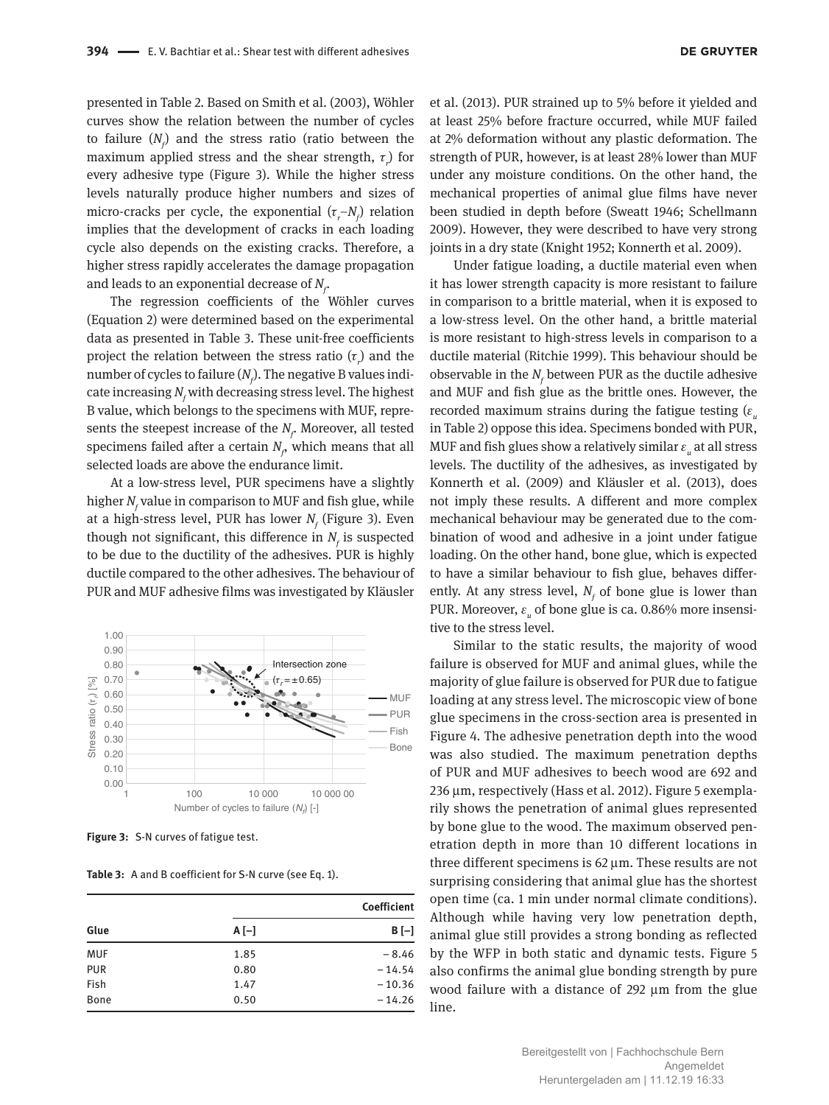presented in Table 2. Based on Smith et al. (2003), Wöhler curves show the relation between the number of cycles to failure  $(N_f)$  and the stress ratio (ratio between the maximum applied stress and the shear strength, τ*<sup>r</sup>* ) for every adhesive type (Figure 3). While the higher stress levels naturally produce higher numbers and sizes of micro-cracks per cycle, the exponential  $(\tau_r - N_f)$  relation implies that the development of cracks in each loading cycle also depends on the existing cracks. Therefore, a higher stress rapidly accelerates the damage propagation and leads to an exponential decrease of  $N<sub>c</sub>$ .

The regression coefficients of the Wöhler curves (Equation 2) were determined based on the experimental data as presented in Table 3. These unit-free coefficients project the relation between the stress ratio  $(\tau_{r})$  and the number of cycles to failure ( $N_{\!\scriptscriptstyle f}$ ). The negative B values indicate increasing  $N_{\!{}_f}$  with decreasing stress level. The highest B value, which belongs to the specimens with MUF, represents the steepest increase of the  $N_{\vec{f}}$  Moreover, all tested specimens failed after a certain  $N_{\rho}$  which means that all selected loads are above the endurance limit.

At a low-stress level, PUR specimens have a slightly higher  $N_{\!{}_f}$ value in comparison to MUF and fish glue, while at a high-stress level, PUR has lower  $N_{\!{}_f}$  (Figure 3). Even though not significant, this difference in  $N_f$  is suspected to be due to the ductility of the adhesives. PUR is highly ductile compared to the other adhesives. The behaviour of PUR and MUF adhesive films was investigated by Kläusler



**Figure 3:** S-N curves of fatigue test.

**Table 3:** A and B coefficient for S-N curve (see Eq. 1).

|             |        | Coefficient<br>$B[-]$ |  |
|-------------|--------|-----------------------|--|
| Glue        | $A[-]$ |                       |  |
| <b>MUF</b>  | 1.85   | $-8.46$               |  |
| <b>PUR</b>  | 0.80   | $-14.54$              |  |
| Fish        | 1.47   | $-10.36$              |  |
| <b>Bone</b> | 0.50   | $-14.26$              |  |

et al. (2013). PUR strained up to 5% before it yielded and at least 25% before fracture occurred, while MUF failed at 2% deformation without any plastic deformation. The strength of PUR, however, is at least 28% lower than MUF under any moisture conditions. On the other hand, the mechanical properties of animal glue films have never been studied in depth before (Sweatt 1946; Schellmann 2009). However, they were described to have very strong joints in a dry state (Knight 1952; Konnerth et al. 2009).

Under fatigue loading, a ductile material even when it has lower strength capacity is more resistant to failure in comparison to a brittle material, when it is exposed to a low-stress level. On the other hand, a brittle material is more resistant to high-stress levels in comparison to a ductile material (Ritchie 1999). This behaviour should be observable in the  $N_f$  between PUR as the ductile adhesive and MUF and fish glue as the brittle ones. However, the recorded maximum strains during the fatigue testing  $(\varepsilon)$ in Table 2) oppose this idea. Specimens bonded with PUR, MUF and fish glues show a relatively similar  $\varepsilon_{_{u}}$  at all stress levels. The ductility of the adhesives, as investigated by Konnerth et al. (2009) and Kläusler et al. (2013), does not imply these results. A different and more complex mechanical behaviour may be generated due to the combination of wood and adhesive in a joint under fatigue loading. On the other hand, bone glue, which is expected to have a similar behaviour to fish glue, behaves differently. At any stress level,  $N_f$  of bone glue is lower than PUR. Moreover,  $\varepsilon_{_{u}}$  of bone glue is ca. 0.86% more insensitive to the stress level.

Similar to the static results, the majority of wood failure is observed for MUF and animal glues, while the majority of glue failure is observed for PUR due to fatigue loading at any stress level. The microscopic view of bone glue specimens in the cross-section area is presented in Figure 4. The adhesive penetration depth into the wood was also studied. The maximum penetration depths of PUR and MUF adhesives to beech wood are 692 and 236 μm, respectively (Hass et al. 2012). Figure 5 exemplarily shows the penetration of animal glues represented by bone glue to the wood. The maximum observed penetration depth in more than 10 different locations in three different specimens is 62 μm. These results are not surprising considering that animal glue has the shortest open time (ca. 1 min under normal climate conditions). Although while having very low penetration depth, animal glue still provides a strong bonding as reflected by the WFP in both static and dynamic tests. Figure 5 also confirms the animal glue bonding strength by pure wood failure with a distance of 292 μm from the glue line.

> Bereitgestellt von | Fachhochschule Bern Angemeldet Heruntergeladen am | 11.12.19 16:33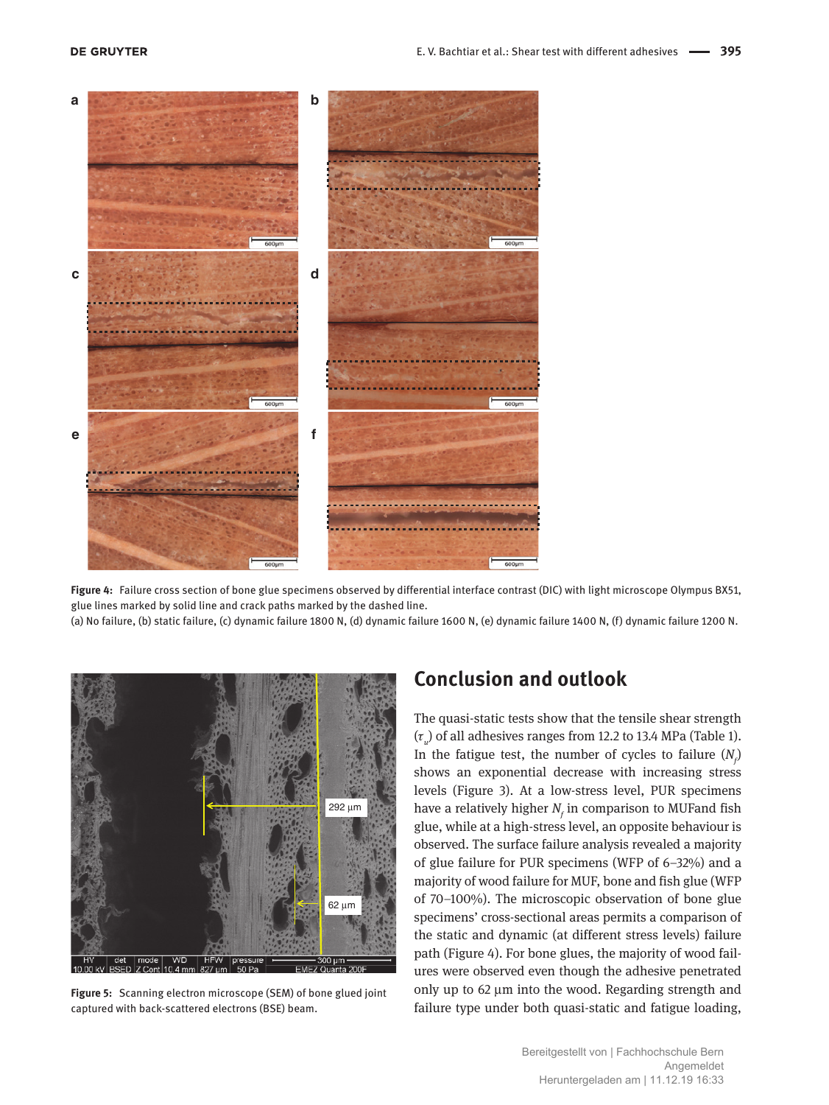

**Figure 4:** Failure cross section of bone glue specimens observed by differential interface contrast (DIC) with light microscope Olympus BX51, glue lines marked by solid line and crack paths marked by the dashed line.

(a) No failure, (b) static failure, (c) dynamic failure 1800 N, (d) dynamic failure 1600 N, (e) dynamic failure 1400 N, (f) dynamic failure 1200 N.



**Figure 5:** Scanning electron microscope (SEM) of bone glued joint captured with back-scattered electrons (BSE) beam.

## **Conclusion and outlook**

The quasi-static tests show that the tensile shear strength (τ*u* ) of all adhesives ranges from 12.2 to 13.4 MPa (Table 1). In the fatigue test, the number of cycles to failure  $(N_f)$ shows an exponential decrease with increasing stress levels (Figure 3). At a low-stress level, PUR specimens have a relatively higher  $N_{\!{}_f}$  in comparison to MUFand fish glue, while at a high-stress level, an opposite behaviour is observed. The surface failure analysis revealed a majority of glue failure for PUR specimens (WFP of 6–32%) and a majority of wood failure for MUF, bone and fish glue (WFP of 70–100%). The microscopic observation of bone glue specimens' cross-sectional areas permits a comparison of the static and dynamic (at different stress levels) failure path (Figure 4). For bone glues, the majority of wood failures were observed even though the adhesive penetrated only up to 62 μm into the wood. Regarding strength and failure type under both quasi-static and fatigue loading,